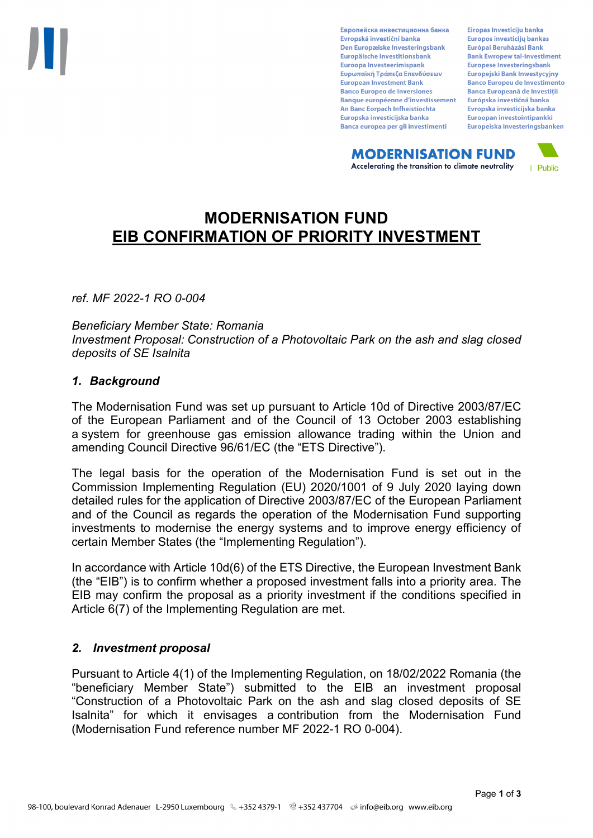Европейска инвестиционна банка Evropská investiční banka Den Europæiske Investeringsbank Europäische Investitionsbank Euroopa Investeerimispank Ευρωπαϊκή Τράπεζα Επενδύσεων **European Investment Bank Banco Europeo de Inversiones Banque européenne d'investissement** An Banc Eorpach Infheistíochta Europska investicijska banka Banca europea per gli investimenti

Eiropas Investīciju banka Europos investicijų bankas Európai Beruházási Bank **Bank Ewropew tal-Investiment** Europese Investeringsbank **Europeiski Bank Inwestycviny Banco Europeu de Investimento Banca Europeană de Investiții** Európska investičná banka Evropska investicijska banka Euroopan investointipankki Europeiska investeringsbanken

**MODERNISATION FUND** Accelerating the transition to climate neutrality



# **MODERNISATION FUND EIB CONFIRMATION OF PRIORITY INVESTMENT**

*ref. MF 2022-1 RO 0-004*

*Beneficiary Member State: Romania Investment Proposal: Construction of a Photovoltaic Park on the ash and slag closed deposits of SE Isalnita*

### *1. Background*

The Modernisation Fund was set up pursuant to Article 10d of Directive 2003/87/EC of the European Parliament and of the Council of 13 October 2003 establishing a system for greenhouse gas emission allowance trading within the Union and amending Council Directive 96/61/EC (the "ETS Directive").

The legal basis for the operation of the Modernisation Fund is set out in the Commission Implementing Regulation (EU) 2020/1001 of 9 July 2020 laying down detailed rules for the application of Directive 2003/87/EC of the European Parliament and of the Council as regards the operation of the Modernisation Fund supporting investments to modernise the energy systems and to improve energy efficiency of certain Member States (the "Implementing Regulation").

In accordance with Article 10d(6) of the ETS Directive, the European Investment Bank (the "EIB") is to confirm whether a proposed investment falls into a priority area. The EIB may confirm the proposal as a priority investment if the conditions specified in Article 6(7) of the Implementing Regulation are met.

### *2. Investment proposal*

Pursuant to Article 4(1) of the Implementing Regulation, on 18/02/2022 Romania (the "beneficiary Member State") submitted to the EIB an investment proposal "Construction of a Photovoltaic Park on the ash and slag closed deposits of SE Isalnita" for which it envisages a contribution from the Modernisation Fund (Modernisation Fund reference number MF 2022-1 RO 0-004).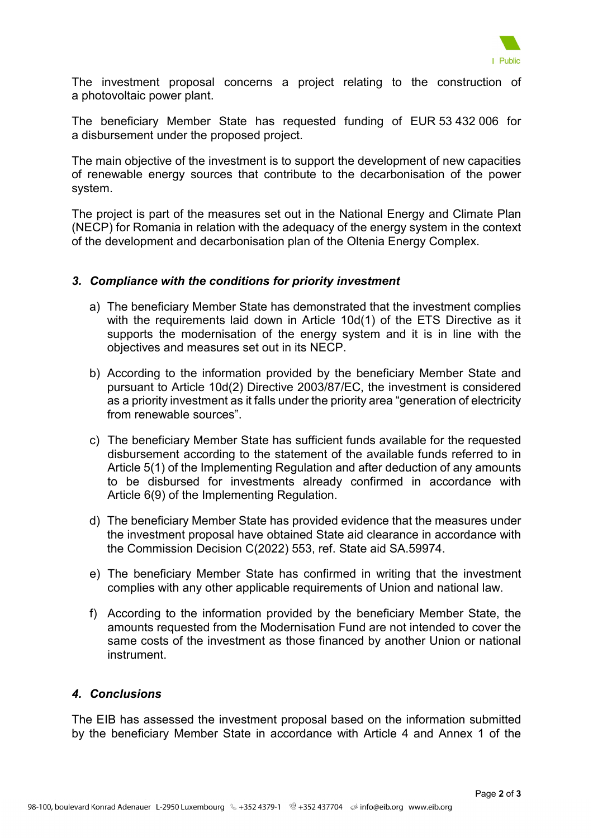

The investment proposal concerns a project relating to the construction of a photovoltaic power plant.

The beneficiary Member State has requested funding of EUR 53 432 006 for a disbursement under the proposed project.

The main objective of the investment is to support the development of new capacities of renewable energy sources that contribute to the decarbonisation of the power system.

The project is part of the measures set out in the National Energy and Climate Plan (NECP) for Romania in relation with the adequacy of the energy system in the context of the development and decarbonisation plan of the Oltenia Energy Complex.

### *3. Compliance with the conditions for priority investment*

- a) The beneficiary Member State has demonstrated that the investment complies with the requirements laid down in Article 10d(1) of the ETS Directive as it supports the modernisation of the energy system and it is in line with the objectives and measures set out in its NECP.
- b) According to the information provided by the beneficiary Member State and pursuant to Article 10d(2) Directive 2003/87/EC, the investment is considered as a priority investment as it falls under the priority area "generation of electricity from renewable sources".
- c) The beneficiary Member State has sufficient funds available for the requested disbursement according to the statement of the available funds referred to in Article 5(1) of the Implementing Regulation and after deduction of any amounts to be disbursed for investments already confirmed in accordance with Article 6(9) of the Implementing Regulation.
- d) The beneficiary Member State has provided evidence that the measures under the investment proposal have obtained State aid clearance in accordance with the Commission Decision C(2022) 553, ref. State aid SA.59974.
- e) The beneficiary Member State has confirmed in writing that the investment complies with any other applicable requirements of Union and national law.
- f) According to the information provided by the beneficiary Member State, the amounts requested from the Modernisation Fund are not intended to cover the same costs of the investment as those financed by another Union or national instrument.

## *4. Conclusions*

The EIB has assessed the investment proposal based on the information submitted by the beneficiary Member State in accordance with Article 4 and Annex 1 of the